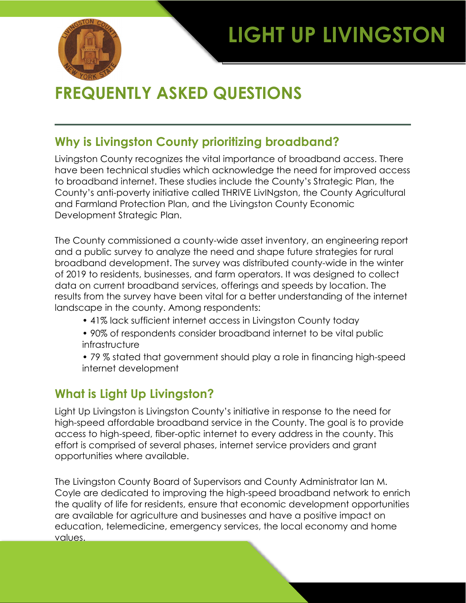# **LIGHT UP LIVINGSTON**



## **FREQUENTLY ASKED QUESTIONS**

#### **Why is Livingston County prioritizing broadband?**

Livingston County recognizes the vital importance of broadband access. There have been technical studies which acknowledge the need for improved access to broadband internet. These studies include the County's Strategic Plan, the County's anti-poverty initiative called THRIVE LivINgston, the County Agricultural and Farmland Protection Plan, and the Livingston County Economic Development Strategic Plan.

The County commissioned a county-wide asset inventory, an engineering report and a public survey to analyze the need and shape future strategies for rural broadband development. The survey was distributed county-wide in the winter of 2019 to residents, businesses, and farm operators. It was designed to collect data on current broadband services, offerings and speeds by location. The results from the survey have been vital for a better understanding of the internet landscape in the county. Among respondents:

- 41% lack sufficient internet access in Livingston County today
- 90% of respondents consider broadband internet to be vital public infrastructure
- 79 % stated that government should play a role in financing high-speed internet development

### **What is Light Up Livingston?**

Light Up Livingston is Livingston County's initiative in response to the need for high-speed affordable broadband service in the County. The goal is to provide access to high-speed, fiber-optic internet to every address in the county. This effort is comprised of several phases, internet service providers and grant opportunities where available.

The Livingston County Board of Supervisors and County Administrator Ian M. Coyle are dedicated to improving the high-speed broadband network to enrich the quality of life for residents, ensure that economic development opportunities are available for agriculture and businesses and have a positive impact on education, telemedicine, emergency services, the local economy and home values.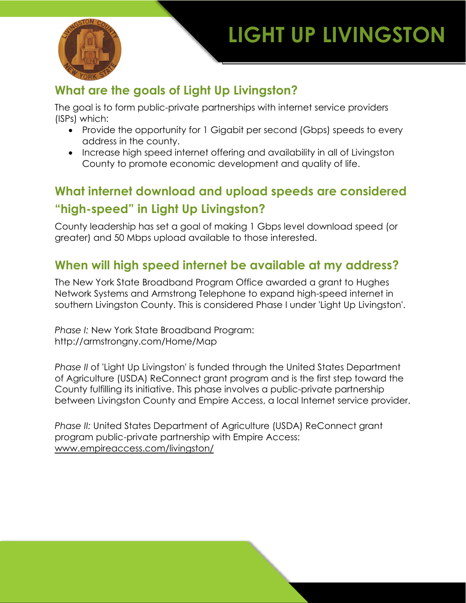# **LIGHT UP LIVINGSTON**



## **What are the goals of Light Up Livingston?**

The goal is to form public-private partnerships with internet service providers (ISPs) which:

- Provide the opportunity for 1 Gigabit per second (Gbps) speeds to every address in the county.
- Increase high speed internet offering and availability in all of Livingston County to promote economic development and quality of life.

## **What internet download and upload speeds are considered "high-speed" in Light Up Livingston?**

County leadership has set a goal of making 1 Gbps level download speed (or greater) and 50 Mbps upload available to those interested.

#### **When will high speed internet be available at my address?**

The New York State Broadband Program Office awarded a grant to Hughes Network Systems and Armstrong Telephone to expand high-speed internet in southern Livingston County. This is considered Phase I under 'Light Up Livingston'.

*Phase I:* New York State Broadband Program: http://armstrongny.com/Home/Map

*Phase II* of 'Light Up Livingston' is funded through the United States Department of Agriculture (USDA) ReConnect grant program and is the first step toward the County fulfilling its initiative. This phase involves a public-private partnership between Livingston County and Empire Access, a local Internet service provider.

*Phase II:* United States Department of Agriculture (USDA) ReConnect grant program public-private partnership with Empire Access: [www.empireaccess.com/livingston/](http://www.empireaccess.com/livingston/)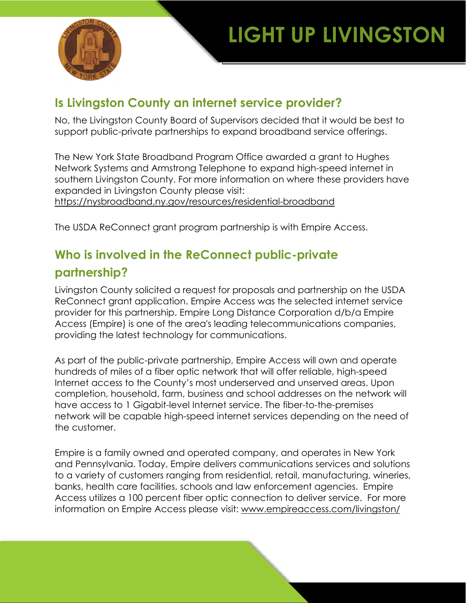

## **Is Livingston County an internet service provider?**

No, the Livingston County Board of Supervisors decided that it would be best to support public-private partnerships to expand broadband service offerings.

The New York State Broadband Program Office awarded a grant to Hughes Network Systems and Armstrong Telephone to expand high-speed internet in southern Livingston County. For more information on where these providers have expanded in Livingston County please visit:

<https://nysbroadband.ny.gov/resources/residential-broadband>

The USDA ReConnect grant program partnership is with Empire Access.

## **Who is involved in the ReConnect public-private partnership?**

Livingston County solicited a request for proposals and partnership on the USDA ReConnect grant application. Empire Access was the selected internet service provider for this partnership. Empire Long Distance Corporation d/b/a Empire Access (Empire) is one of the area's leading telecommunications companies, providing the latest technology for communications.

As part of the public-private partnership, Empire Access will own and operate hundreds of miles of a fiber optic network that will offer reliable, high-speed Internet access to the County's most underserved and unserved areas. Upon completion, household, farm, business and school addresses on the network will have access to 1 Gigabit-level Internet service. The fiber-to-the-premises network will be capable high-speed internet services depending on the need of the customer.

Empire is a family owned and operated company, and operates in New York and Pennsylvania. Today, Empire delivers communications services and solutions to a variety of customers ranging from residential, retail, manufacturing, wineries, banks, health care facilities, schools and law enforcement agencies. Empire Access utilizes a 100 percent fiber optic connection to deliver service. For more information on Empire Access please visit: [www.empireaccess.com/livingston/](http://www.empireaccess.com/livingston/)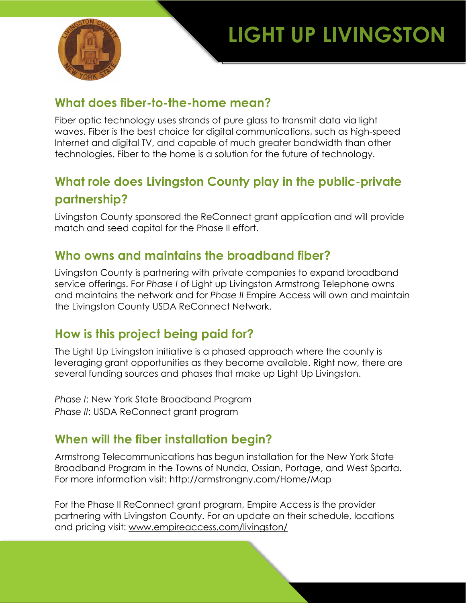



#### **What does fiber-to-the-home mean?**

Fiber optic technology uses strands of pure glass to transmit data via light waves. Fiber is the best choice for digital communications, such as high-speed Internet and digital TV, and capable of much greater bandwidth than other technologies. Fiber to the home is a solution for the future of technology.

## **What role does Livingston County play in the public-private partnership?**

Livingston County sponsored the ReConnect grant application and will provide match and seed capital for the Phase II effort.

### **Who owns and maintains the broadband fiber?**

Livingston County is partnering with private companies to expand broadband service offerings. For *Phase I* of Light up Livingston Armstrong Telephone owns and maintains the network and for *Phase II* Empire Access will own and maintain the Livingston County USDA ReConnect Network.

### **How is this project being paid for?**

The Light Up Livingston initiative is a phased approach where the county is leveraging grant opportunities as they become available. Right now, there are several funding sources and phases that make up Light Up Livingston.

*Phase I*: New York State Broadband Program *Phase II*: USDA ReConnect grant program

#### **When will the fiber installation begin?**

Armstrong Telecommunications has begun installation for the New York State Broadband Program in the Towns of Nunda, Ossian, Portage, and West Sparta. For more information visit: http://armstrongny.com/Home/Map

For the Phase II ReConnect grant program, Empire Access is the provider partnering with Livingston County. For an update on their schedule, locations and pricing visit: [www.empireaccess.com/livingston/](http://www.empireaccess.com/livingston/)